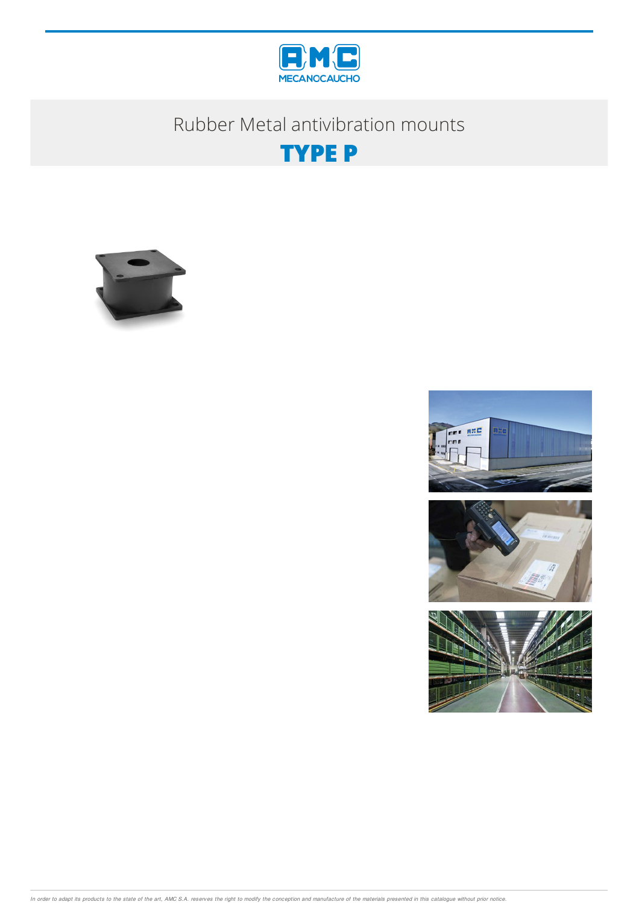

# Rubber Metal antivibration mounts









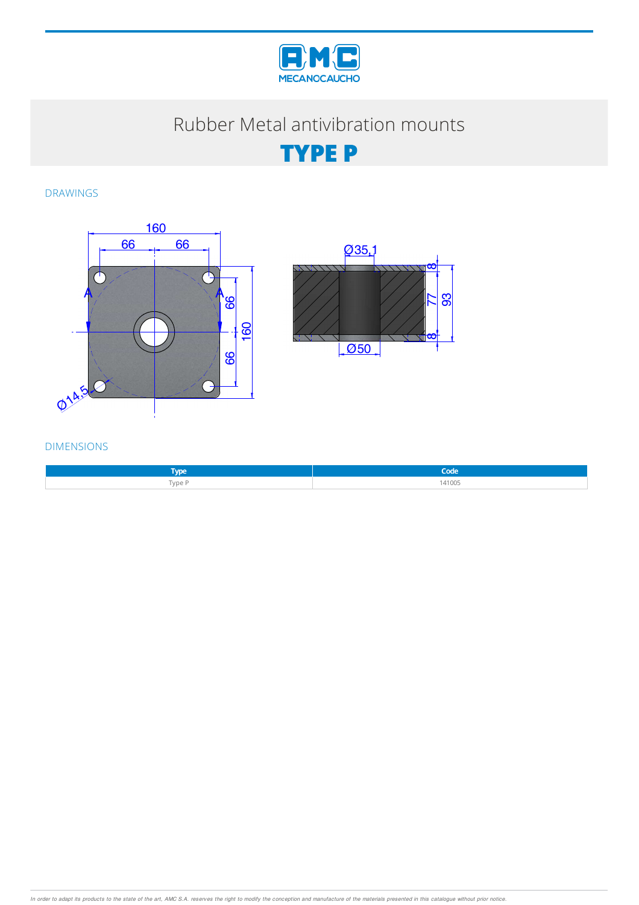

# Rubber Metal antivibration mounts

**TYPE P**

DRAWINGS





#### DIMENSIONS

| <b>VDe</b> | Code   |
|------------|--------|
| Type P     | 141005 |